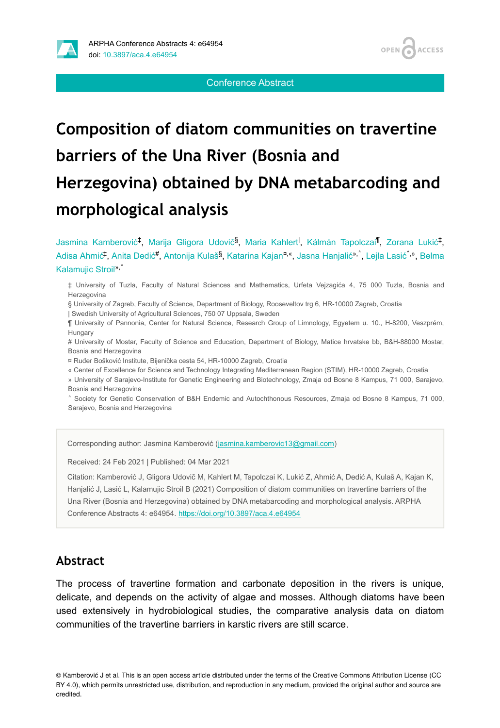

#### Conference Abstract

# **Composition of diatom communities on travertine barriers of the Una River (Bosnia and Herzegovina) obtained by DNA metabarcoding and morphological analysis**

Jasmina Kamberović<sup>‡</sup>, Marija Gligora Udovič<sup>§</sup>, Maria Kahlert<sup>I</sup>, Kálmán Tapolczai<sup>¶</sup>, Zorana Lukić<sup>‡</sup>, Adisa Ahmić<sup>‡</sup>, Anita Dedić<sup>#</sup>, Antonija Kulaš<sup>§</sup>, Katarina Kajan<sup>¤,«</sup>, Jasna Hanjalić<sup>»,»</sup>, Lejla Lasić <sup>,»</sup>, Belma Kalamujic Stroil<sup>», ^</sup>

‡ University of Tuzla, Faculty of Natural Sciences and Mathematics, Urfeta Vejzagića 4, 75 000 Tuzla, Bosnia and Herzegovina

§ University of Zagreb, Faculty of Science, Department of Biology, Rooseveltov trg 6, HR-10000 Zagreb, Croatia

| Swedish University of Agricultural Sciences, 750 07 Uppsala, Sweden

¶ University of Pannonia, Center for Natural Science, Research Group of Limnology, Egyetem u. 10., H-8200, Veszprém, Hungary

# University of Mostar, Faculty of Science and Education, Department of Biology, Matice hrvatske bb, B&H-88000 Mostar, Bosnia and Herzegovina

¤ Ruđer Bošković Institute, Bijenička cesta 54, HR-10000 Zagreb, Croatia

« Center of Excellence for Science and Technology Integrating Mediterranean Region (STIM), HR-10000 Zagreb, Croatia

» University of Sarajevo-Institute for Genetic Engineering and Biotechnology, Zmaja od Bosne 8 Kampus, 71 000, Sarajevo, Bosnia and Herzegovina

˄ Society for Genetic Conservation of B&H Endemic and Autochthonous Resources, Zmaja od Bosne 8 Kampus, 71 000, Sarajevo, Bosnia and Herzegovina

Corresponding author: Jasmina Kamberović ([jasmina.kamberovic13@gmail.com](mailto:jasmina.kamberovic13@gmail.com))

Received: 24 Feb 2021 | Published: 04 Mar 2021

Citation: Kamberović J, Gligora Udovič M, Kahlert M, Tapolczai K, Lukić Z, Ahmić A, Dedić A, Kulaš A, Kajan K, Hanjalić J, Lasić L, Kalamujic Stroil B (2021) Composition of diatom communities on travertine barriers of the Una River (Bosnia and Herzegovina) obtained by DNA metabarcoding and morphological analysis. ARPHA Conference Abstracts 4: e64954. <https://doi.org/10.3897/aca.4.e64954>

#### **Abstract**

The process of travertine formation and carbonate deposition in the rivers is unique, delicate, and depends on the activity of algae and mosses. Although diatoms have been used extensively in hydrobiological studies, the comparative analysis data on diatom communities of the travertine barriers in karstic rivers are still scarce.

© Kamberović J et al. This is an open access article distributed under the terms of the Creative Commons Attribution License (CC BY 4.0), which permits unrestricted use, distribution, and reproduction in any medium, provided the original author and source are credited.